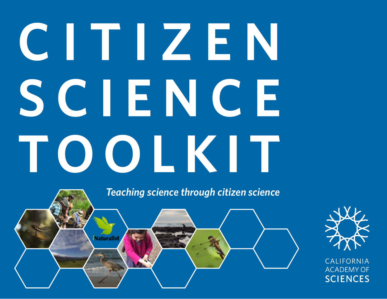# **C I T I Z E N S C I E N C E TOOLKIT**

*Teaching science through citizen science*





CALIFORNIA **ACADEMY OF SCIENCES**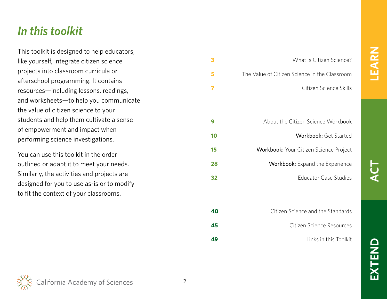## **LEARN**

## **ACT**

## **EXTEN**

## <span id="page-1-0"></span>*In this toolkit*

This toolkit is designed to help educators, like yourself, integrate citizen science projects into classroom curricula or afterschool programming. It contains resources—including lessons, readings, and worksheets—to help you communicate the value of citizen science to your students and help them cultivate a sense of empowerment and impact when performing science investigations.

You can use this toolkit in the order outlined or adapt it to meet your needs. Similarly, the activities and projects are designed for you to use as-is or to modify to fit the context of your classrooms.

| 3  | What is Citizen Science?                      |
|----|-----------------------------------------------|
| 5  | The Value of Citizen Science in the Classroom |
| 7  | Citizen Science Skills                        |
|    |                                               |
| 9  | About the Citizen Science Workbook            |
| 10 | Workbook: Get Started                         |
| 15 | <b>Workbook:</b> Your Citizen Science Project |
| 28 | <b>Workbook:</b> Expand the Experience        |
| 32 | <b>Educator Case Studies</b>                  |
|    |                                               |
| 40 | Citizen Science and the Standards             |
| 45 | Citizen Science Resources                     |
| 49 | Links in this Toolkit                         |

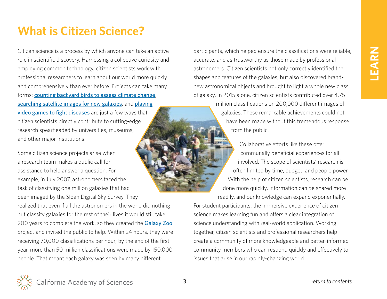## <span id="page-2-0"></span>**What is Citizen Science?**

Citizen science is a process by which anyone can take an active role in scientific discovery. Harnessing a collective curiosity and employing common technology, citizen scientists work with professional researchers to learn about our world more quickly and comprehensively than ever before. Projects can take many forms: [counting backyard birds to assess climate change](https://www.audubon.org/content/about-great-backyard-bird-count), [searching satellite images for new galaxies](http://www.galaxyzoo.org/), and playing [video games to fight diseases](http://fold.it/portal/) are just a few ways that citizen scientists directly contribute to cutting-edge research spearheaded by universities, museums, and other major institutions.

Some citizen science projects arise when a research team makes a public call for assistance to help answer a question. For example, in July 2007, astronomers faced the task of classifying one million galaxies that had been imaged by the Sloan Digital Sky Survey. They

realized that even if all the astronomers in the world did nothing but classify galaxies for the rest of their lives it would still take 200 years to complete the work, so they created the [Galaxy Zoo](http://www.galaxyzoo.org/) project and invited the public to help. Within 24 hours, they were receiving 70,000 classifications per hour; by the end of the first year, more than 50 million classifications were made by 150,000 people. That meant each galaxy was seen by many different

participants, which helped ensure the classifications were reliable, accurate, and as trustworthy as those made by professional astronomers. Citizen scientists not only correctly identified the shapes and features of the galaxies, but also discovered brandnew astronomical objects and brought to light a whole new class of galaxy. In 2015 alone, citizen scientists contributed over 4.75

million classifications on 200,000 different images of galaxies. These remarkable achievements could not have been made without this tremendous response from the public.

Collaborative efforts like these offer communally beneficial experiences for all involved. The scope of scientists' research is often limited by time, budget, and people power. With the help of citizen scientists, research can be done more quickly, information can be shared more readily, and our knowledge can expand exponentially.

For student participants, the immersive experience of citizen science makes learning fun and offers a clear integration of science understanding with real-world application. Working together, citizen scientists and professional researchers help create a community of more knowledgeable and better-informed community members who can respond quickly and effectively to issues that arise in our rapidly-changing world.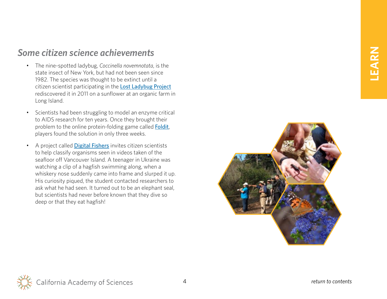## *Some citizen science achievements*

- The nine-spotted ladybug, *Coccinella novemnotata*, is the state insect of New York, but had not been seen since 1982. The species was thought to be extinct until a citizen scientist participating in the **[Lost Ladybug Project](http://www.lostladybug.org/)** rediscovered it in 2011 on a sunflower at an organic farm in Long Island.
- Scientists had been struggling to model an enzyme critical to AIDS research for ten years. Once they brought their problem to the online protein-folding game called **[Foldit](http://fold.it/portal/)**, players found the solution in only three weeks.
- A project called **[Digital Fishers](http://digitalfishers.net/)** invites citizen scientists to help classify organisms seen in videos taken of the seafloor off Vancouver Island. A teenager in Ukraine was watching a clip of a hagfish swimming along, when a whiskery nose suddenly came into frame and slurped it up. His curiosity piqued, the student contacted researchers to ask what he had seen. It turned out to be an elephant seal, but scientists had never before known that they dive so deep or that they eat hagfish!

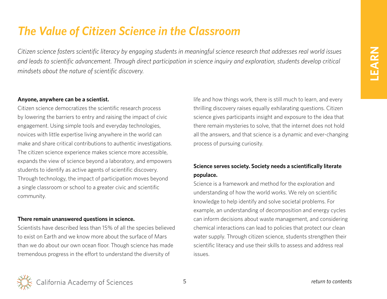## <span id="page-4-0"></span>*The Value of Citizen Science in the Classroom*

*Citizen science fosters scientific literacy by engaging students in meaningful science research that addresses real world issues and leads to scientific advancement. Through direct participation in science inquiry and exploration, students develop critical mindsets about the nature of scientific discovery.* 

#### **Anyone, anywhere can be a scientist.**

Citizen science democratizes the scientific research process by lowering the barriers to entry and raising the impact of civic engagement. Using simple tools and everyday technologies, novices with little expertise living anywhere in the world can make and share critical contributions to authentic investigations. The citizen science experience makes science more accessible, expands the view of science beyond a laboratory, and empowers students to identify as active agents of scientific discovery. Through technology, the impact of participation moves beyond a single classroom or school to a greater civic and scientific community.

#### **There remain unanswered questions in science.**

Scientists have described less than 15% of all the species believed to exist on Earth and we know more about the surface of Mars than we do about our own ocean floor. Though science has made tremendous progress in the effort to understand the diversity of

life and how things work, there is still much to learn, and every thrilling discovery raises equally exhilarating questions. Citizen science gives participants insight and exposure to the idea that there remain mysteries to solve, that the internet does not hold all the answers, and that science is a dynamic and ever-changing process of pursuing curiosity.

## **Science serves society. Society needs a scientifically literate populace.**

Science is a framework and method for the exploration and understanding of how the world works. We rely on scientific knowledge to help identify and solve societal problems. For example, an understanding of decomposition and energy cycles can inform decisions about waste management, and considering chemical interactions can lead to policies that protect our clean water supply. Through citizen science, students strengthen their scientific literacy and use their skills to assess and address real issues.

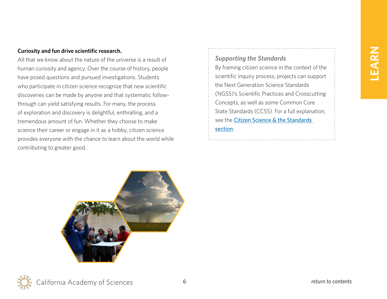#### **Curiosity and fun drive scientific research.**

All that we know about the nature of the universe is a result of human curiosity and agency. Over the course of history, people have posed questions and pursued investigations. Students who participate in citizen science recognize that new scientific discoveries can be made by anyone and that systematic followthrough can yield satisfying results. For many, the process of exploration and discovery is delightful, enthralling, and a tremendous amount of fun. Whether they choose to make science their career or engage in it as a hobby, citizen science provides everyone with the chance to learn about the world while contributing to greater good.

*Supporting the Standards*

By framing citizen science in the context of the scientific inquiry process, projects can support the Next Generation Science Standards (NGSS)'s Scientific Practices and Crosscutting Concepts, as well as some Common Core State Standards (CCSS). For a full explanation, see the Citizen Science & the Standards

#### [section](#page-39-0).

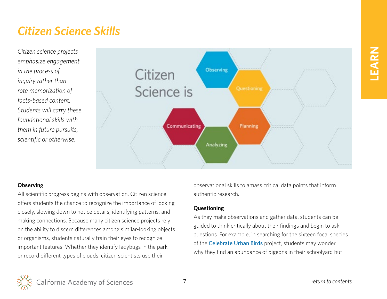## **LEARN**

## <span id="page-6-0"></span>*Citizen Science Skills*

*Citizen science projects emphasize engagement in the process of inquiry rather than rote memorization of facts-based content. Students will carry these foundational skills with them in future pursuits, scientific or otherwise.*



#### **Observing**

All scientific progress begins with observation. Citizen science offers students the chance to recognize the importance of looking closely, slowing down to notice details, identifying patterns, and making connections. Because many citizen science projects rely on the ability to discern differences among similar-looking objects or organisms, students naturally train their eyes to recognize important features. Whether they identify ladybugs in the park or record different types of clouds, citizen scientists use their

observational skills to amass critical data points that inform authentic research.

#### **Questioning**

As they make observations and gather data, students can be guided to think critically about their findings and begin to ask questions. For example, in searching for the sixteen focal species of the [Celebrate Urban Birds](http://celebrateurbanbirds.org/) project, students may wonder why they find an abundance of pigeons in their schoolyard but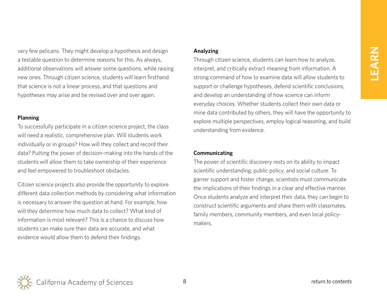very few pelicans. They might develop a hypothesis and design a testable question to determine reasons for this. As always, additional observations will answer some questions, while raising new ones. Through citizen science, students will learn firsthand that science is not a linear process, and that questions and hypotheses may arise and be revised over and over again.

#### **Planning**

To successfully participate in a citizen science project, the class will need a realistic, comprehensive plan. Will students work individually or in groups? How will they collect and record their data? Putting the power of decision-making into the hands of the students will allow them to take ownership of their experience and feel empowered to troubleshoot obstacles.

Citizen science projects also provide the opportunity to explore different data collection methods by considering what information is necessary to answer the question at hand. For example, how will they determine how much data to collect? What kind of information is most relevant? This is a chance to discuss how students can make sure their data are accurate, and what evidence would allow them to defend their findings.

#### **Analyzing**

Through citizen science, students can learn how to analyze, interpret, and critically extract meaning from information. A strong command of how to examine data will allow students to support or challenge hypotheses, defend scientific conclusions, and develop an understanding of how science can inform everyday choices. Whether students collect their own data or mine data contributed by others, they will have the opportunity to explore multiple perspectives, employ logical reasoning, and build understanding from evidence.

#### **Communicating**

The power of scientific discovery rests on its ability to impact scientific understanding, public policy, and social culture. To garner support and foster change, scientists must communicate the implications of their findings in a clear and effective manner. Once students analyze and interpret their data, they can begin to construct scientific arguments and share them with classmates, family members, community members, and even local policymakers.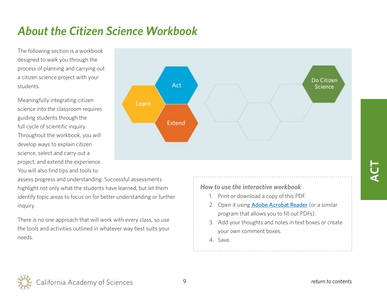## <span id="page-8-0"></span>*About the Citizen Science Workbook*

The following section is a workbook designed to walk you through the process of planning and carrying out a citizen science project with your students.

Meaningfully integrating citizen science into the classroom requires guiding students through the full cycle of scientific inquiry. Throughout the workbook, you will develop ways to explain citizen science, select and carry out a project, and extend the experience. You will also find tips and tools to

Do Citizen Act Science Learn **Extend** 

assess progress and understanding. Successful assessments highlight not only what the students have learned, but let them identify topic areas to focus on for better understanding or further inquiry.

There is no one approach that will work with every class, so use the tools and activities outlined in whatever way best suits your needs.

*How to use the interactive workbook*

- 1. Print or download a copy of this PDF.
- 2. Open it using **[Adobe Acrobat Reader](https://get.adobe.com/reader/)** (or a similar program that allows you to fill out PDFs).
- 3. Add your thoughts and notes in text boxes or create your own comment boxes.
- 4. Save.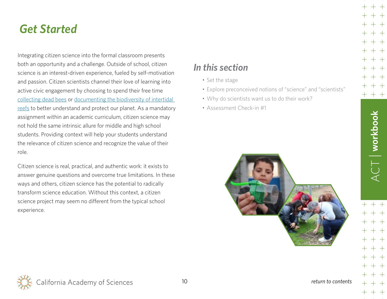<span id="page-9-0"></span>Integrating citizen science into the formal classroom presents both an opportunity and a challenge. Outside of school, citizen science is an interest-driven experience, fueled by self-motivation and passion. Citizen scientists channel their love of learning into active civic engagement by choosing to spend their free time [collecting dead bees](https://www.zombeewatch.org/) or [documenting the biodiversity of intertidal](http://www.inaturalist.org/projects/intertidal-biodiversity-survey-at-pillar-point)  [reefs](http://www.inaturalist.org/projects/intertidal-biodiversity-survey-at-pillar-point) to better understand and protect our planet. As a mandatory assignment within an academic curriculum, citizen science may not hold the same intrinsic allure for middle and high school students. Providing context will help your students understand the relevance of citizen science and recognize the value of their role.

Citizen science is real, practical, and authentic work: it exists to answer genuine questions and overcome true limitations. In these ways and others, citizen science has the potential to radically transform science education. Without this context, a citizen science project may seem no different from the typical school experience.

## *In this section*

- [Set the stage](#page-10-0)
- [Explore preconceived notions of "science" and "scientists"](#page-11-0)
- [Why do scientists want us to do their work?](#page-12-0)
- [Assessment Check-in #1](#page-13-0)



## $CT$  workbook ACT | **workbook**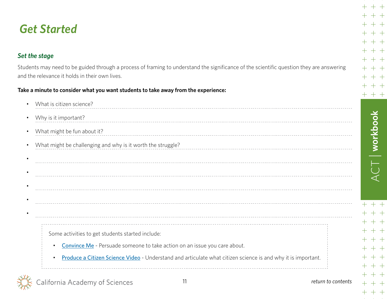## <span id="page-10-0"></span>*Set the stage*

Students may need to be guided through a process of framing to understand the significance of the scientific question they are answering and the relevance it holds in their own lives.

#### **Take a minute to consider what you want students to take away from the experience:**

| $\bullet$ | What is citizen science?                                                                                                  |
|-----------|---------------------------------------------------------------------------------------------------------------------------|
| $\bullet$ | Why is it important?                                                                                                      |
| $\bullet$ | What might be fun about it?                                                                                               |
| $\bullet$ | What might be challenging and why is it worth the struggle?                                                               |
| ٠         |                                                                                                                           |
|           |                                                                                                                           |
|           |                                                                                                                           |
|           |                                                                                                                           |
|           |                                                                                                                           |
|           |                                                                                                                           |
|           | Some activities to get students started include:                                                                          |
|           | Convince Me - Persuade someone to take action on an issue you care about.<br>$\bullet$                                    |
|           | Produce a Citizen Science Video - Understand and articulate what citizen science is and why it is important.<br>$\bullet$ |
|           |                                                                                                                           |

California Academy of Sciences

ACT | **workbook**

 $+ +$  $+\;+\;$  $+$   $\ +$  $+ +$  $+$   $+$ - +  $++$  $+$  $+$ 

 $+$ 

 $+ + +$ 

 $ACT$  | workbook

 $+$  +

 $+ +$  $++$  $++$  $+$  +

 $++$ 

 $++$ 

 $+ +$ 

 $++$  $++$  $+ +$ 

 $+$ 

 $+$ 

 $\pm$ 

 $+$ 

 $\pm$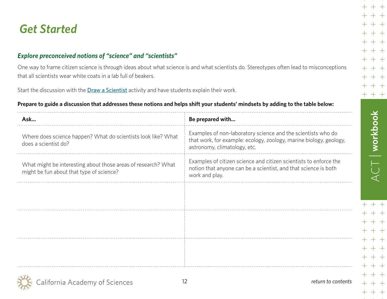## <span id="page-11-0"></span>*Explore preconceived notions of "science" and "scientists"*

One way to frame citizen science is through ideas about what science is and what scientists do. Stereotypes often lead to misconceptions that all scientists wear white coats in a lab full of beakers.

Start the discussion with the **[Draw a Scientist](https://www.calacademy.org/educators/lesson-plans/draw-a-scientist)** activity and have students explain their work.

#### **Prepare to guide a discussion that addresses these notions and helps shift your students' mindsets by adding to the table below:**

| Ask                                                                                                       | Be prepared with                                                                                                                                                   |
|-----------------------------------------------------------------------------------------------------------|--------------------------------------------------------------------------------------------------------------------------------------------------------------------|
| Where does science happen? What do scientists look like? What<br>does a scientist do?                     | Examples of non-laboratory science and the scientists who do<br>that work, for example: ecology, zoology, marine biology, geology,<br>astronomy, climatology, etc. |
| What might be interesting about those areas of research? What<br>might be fun about that type of science? | Examples of citizen science and citizen scientists to enforce the<br>notion that anyone can be a scientist, and that science is both<br>work and play.             |
|                                                                                                           |                                                                                                                                                                    |
|                                                                                                           |                                                                                                                                                                    |
|                                                                                                           |                                                                                                                                                                    |
|                                                                                                           |                                                                                                                                                                    |
|                                                                                                           |                                                                                                                                                                    |
| alifornia Academy of Sciences                                                                             | 12<br>return to contents                                                                                                                                           |

ACT | **workbook**

 $+ +$  $+ +$  $+ +$  $+ +$ 

 $++$  $+\ +$  $+ +$ 

 $+$   $+$  $+ +$  $+ +$ 

 $+ + +$ 

 $\pm$ 

 $+$ 

 $ACT$  workbook

 $+$  +

 $+ +$  $++$ 

 $++$ 

 $+ +$ 

 $++$ 

 $+$  +

 $++$ 

 $+ +$  $+ +$ 

 $+ +$ 

 $+$ 

┼

 $\pm$ 

 $+$ 

 $+$ 

 $\pm$ 

 $+$ 

 $+$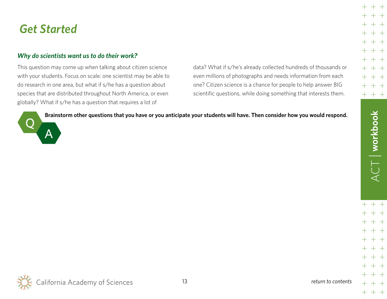## <span id="page-12-0"></span>*Why do scientists want us to do their work?*

This question may come up when talking about citizen science with your students. Focus on scale: one scientist may be able to do research in one area, but what if s/he has a question about species that are distributed throughout North America, or even globally? What if s/he has a question that requires a lot of

data? What if s/he's already collected hundreds of thousands or even millions of photographs and needs information from each one? Citizen science is a chance for people to help answer BIG scientific questions, while doing something that interests them.



**Brainstorm other questions that you have or you anticipate your students will have. Then consider how you would respond.**



ACT | **workbook**

 $+ +$ 

 $+ + +$ 

 $ACT$  | workbook

 $++$ 

 $++$ 

 $+ +$  $++$  $+ +$ 

 $++$  $+ +$ 

 $\pm$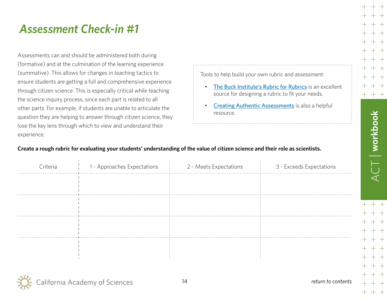## <span id="page-13-0"></span>*Assessment Check-in #1*

Assessments can and should be administered both during (formative) and at the culmination of the learning experience (summative). This allows for changes in teaching tactics to ensure students are getting a full and comprehensive experience through citizen science. This is especially critical while teaching the science inquiry process, since each part is related to all other parts. For example, if students are unable to articulate the question they are helping to answer through citizen science, they lose the key lens through which to view and understand their experience.

Tools to help build your own rubric and assessment:

- [The Buck Institute's Rubric for Rubrics](https://goo.gl/mw9kyb) is an excellent source for designing a rubric to fit your needs.
- **[Creating Authentic Assessments](http://www.nea.org/tools/lessons/57730.htm)** is also a helpful resource.

#### **Create a rough rubric for evaluating your students' understanding of the value of citizen science and their role as scientists.**

| Criteria             | 1 - Approaches Expectations | 2 - Meets Expectations | 3 - Exceeds Expectations |
|----------------------|-----------------------------|------------------------|--------------------------|
|                      |                             |                        |                          |
|                      |                             |                        |                          |
|                      |                             |                        |                          |
|                      |                             |                        |                          |
|                      |                             |                        |                          |
|                      |                             |                        |                          |
|                      |                             |                        |                          |
| $\sim$ $\sim$ $\sim$ |                             |                        |                          |



ACT | **workbook**

 $+~+~+$ 

 $\supseteq$   $\Big\vert$  workbook

 $+ +$ 

 $+\ +$  $++$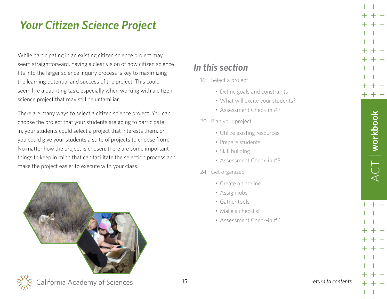<span id="page-14-0"></span>While participating in an existing citizen science project may seem straightforward, having a clear vision of how citizen science fits into the larger science inquiry process is key to maximizing the learning potential and success of the project. This could seem like a daunting task, especially when working with a citizen science project that may still be unfamiliar.

There are many ways to select a citizen science project. You can choose the project that your students are going to participate in, your students could select a project that interests them, or you could give your students a suite of projects to choose from. No matter how the project is chosen, there are some important things to keep in mind that can facilitate the selection process and make the project easier to execute with your class.



## *In this section*

- 16 [Select a project](#page-15-0)
	- [Define goals and constraints](#page-15-0)
	- [What will excite your students?](#page-16-0)
	- [Assessment Check-in #2](#page-18-0)
- 20 [Plan your project](#page-19-0)
	- [Utilize existing resources](#page-19-0)
	- [Prepare students](#page-19-0)
	- [Skill building](#page-20-0)
	- [Assessment Check-in #3](#page-22-0)
- 24 [Get organized](#page-23-0)
	- [Create a timeline](#page-23-0)
	- [Assign jobs](#page-24-0)
	- [Gather tools](#page-24-0)
	- [Make a checklist](#page-25-0)
	- [Assessment Check-in #4](#page-26-0)

 $ACT$  | workbook ACT | **workbook**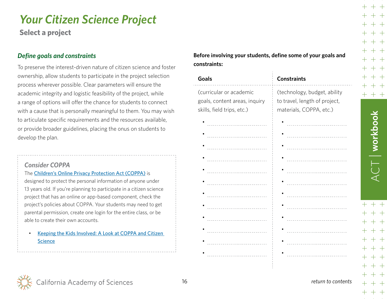<span id="page-15-0"></span>**Select a project**

#### *Define goals and constraints*

To preserve the interest-driven nature of citizen science and foster ownership, allow students to participate in the project selection process wherever possible. Clear parameters will ensure the academic integrity and logistic feasibility of the project, while a range of options will offer the chance for students to connect with a cause that is personally meaningful to them. You may wish to articulate specific requirements and the resources available, or provide broader guidelines, placing the onus on students to develop the plan.

#### *Consider COPPA*

The [Children's Online Privacy Protection Act \(COPPA\)](http://www.coppa.org/) is designed to protect the personal information of anyone under 13 years old. If you're planning to participate in a citizen science project that has an online or app-based component, check the project's policies about COPPA. Your students may need to get parental permission, create one login for the entire class, or be able to create their own accounts.

• [Keeping the Kids Involved: A Look at COPPA and Citizen](http://scistarter.com/blog/2014/01/keeping-kids-involved-look-coppa-citizen-science/#sthash.E7NPKW2P.dpbs)  **[Science](http://scistarter.com/blog/2014/01/keeping-kids-involved-look-coppa-citizen-science/#sthash.E7NPKW2P.dpbs)** 

**Before involving your students, define some of your goals and constraints:**

| Goals                                                                                  | <b>Constraints</b>                                                                       |
|----------------------------------------------------------------------------------------|------------------------------------------------------------------------------------------|
| (curricular or academic<br>goals, content areas, inquiry<br>skills, field trips, etc.) | (technology, budget, ability<br>to travel, length of project,<br>materials, COPPA, etc.) |
|                                                                                        |                                                                                          |
| .                                                                                      |                                                                                          |
| -----------------------------                                                          |                                                                                          |
|                                                                                        |                                                                                          |
|                                                                                        | .                                                                                        |
|                                                                                        |                                                                                          |
|                                                                                        |                                                                                          |
|                                                                                        |                                                                                          |
|                                                                                        | .                                                                                        |
| .                                                                                      |                                                                                          |
|                                                                                        |                                                                                          |
|                                                                                        |                                                                                          |
|                                                                                        |                                                                                          |
|                                                                                        |                                                                                          |



ACT | **workbook**

 $+~+~+$ 

 $T$  workbook

 $++$ 

 $++$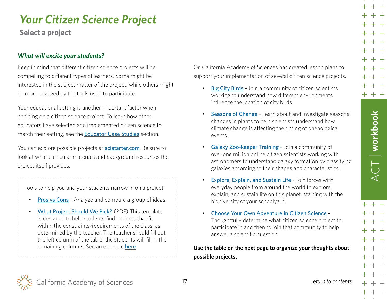<span id="page-16-0"></span>**Select a project**

#### *What will excite your students?*

Keep in mind that different citizen science projects will be compelling to different types of learners. Some might be interested in the subject matter of the project, while others might be more engaged by the tools used to participate.

Your educational setting is another important factor when deciding on a citizen science project. To learn how other educators have selected and implemented citizen science to match their setting, see the [Educator Case Studies](#page-31-0) section.

You can explore possible projects at **[scistarter.com](http://scistarter.com/)**. Be sure to look at what curricular materials and background resources the project itself provides.

Tools to help you and your students narrow in on a project:

- [Pros vs Cons](https://www.calacademy.org/educators/lesson-plans/pros-vs-cons) Analyze and compare a group of ideas.
- [What Project Should We Pick?](http://goo.gl/5r7iEm) (PDF) This template is designed to help students find projects that fit within the constraints/requirements of the class, as determined by the teacher. The teacher should fill out the left column of the table; the students will fill in the remaining columns. See an example [here](http://goo.gl/Roh43m).

Or, California Academy of Sciences has created lesson plans to support your implementation of several citizen science projects.

- [Big City Birds](https://www.calacademy.org/educators/lesson-plans/big-city-birds) Join a community of citizen scientists working to understand how different environments influence the location of city birds.
- [Seasons of Change](https://www.calacademy.org/educators/lesson-plans/seasons-of-change) Learn about and investigate seasonal changes in plants to help scientists understand how climate change is affecting the timing of phenological events.
- [Galaxy Zoo-keeper Training](https://www.calacademy.org/educators/lesson-plans/galaxy-zoo-keeper-training) Join a community of over one million online citizen scientists working with astronomers to understand galaxy formation by classifying galaxies according to their shapes and characteristics.
- **[Explore, Explain, and Sustain Life](https://www.calacademy.org/educators/lesson-plans/explore-explain-and-sustain-life) Join forces with** everyday people from around the world to explore, explain, and sustain life on this planet, starting with the biodiversity of your schoolyard.
- [Choose Your Own Adventure in Citizen Science](https://www.calacademy.org/educators/lesson-plans/choose-your-own-citizen-science-project) Thoughtfully determine what citizen science project to participate in and then to join that community to help answer a scientific question.

**Use the table on the next page to organize your thoughts about possible projects.**



ACT | **workbook**

 $ACT$  | workbook

 $+ + +$ 

 $+ + +$ 

 $+ +$  $+ +$  $+ +$  $+ +$  $+ +$  $+ + +$ 

> $++$  $++$  $+ +$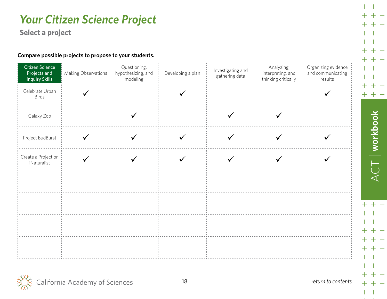**Select a project**

#### **Compare possible projects to propose to your students.**

| Citizen Science<br>Projects and<br><b>Inquiry Skills</b> | Making Observations | Questioning,<br>hypothesizing, and<br>modeling | Developing a plan | Investigating and<br>gathering data | Analyzing,<br>interpreting, and<br>thinking critically | Organizing evidence<br>and communicating<br>results |
|----------------------------------------------------------|---------------------|------------------------------------------------|-------------------|-------------------------------------|--------------------------------------------------------|-----------------------------------------------------|
| Celebrate Urban<br>Birds                                 |                     |                                                |                   |                                     |                                                        |                                                     |
| Galaxy Zoo                                               |                     |                                                |                   |                                     |                                                        |                                                     |
| Project BudBurst                                         |                     |                                                |                   |                                     |                                                        |                                                     |
| Create a Project on<br>iNaturalist                       |                     |                                                |                   |                                     |                                                        |                                                     |
|                                                          |                     |                                                |                   |                                     |                                                        |                                                     |
|                                                          |                     |                                                |                   |                                     |                                                        |                                                     |
|                                                          |                     |                                                |                   |                                     |                                                        |                                                     |
|                                                          |                     |                                                |                   |                                     |                                                        |                                                     |



 $ACT$  | workbook ACT | **workbook**  $+ +$  $++$  $+ +$  $++$  $++$  $++$  $+ +$  $++$ 

 $+ +$ 

 $++$ 

 $+ + +$ 

 $+$ 

 $\pm$  $\pm$ 

 $+$ 

 $\pm$ 

 $\pm$ 

 $+$ 

 $\pm$ 

 $+$ 

 $+$  +

 $++$ 

 $++$  $+ +$ 

 $+$  +

 $++$ 

 $+$  +

 $+ +$ 

 $+ +$ 

 $+ +$  $+ + +$ 

 $+$ 

 $+$ 

 $+$ 

 $+$ 

 $+$  $+$ 

 $+$ 

 $+$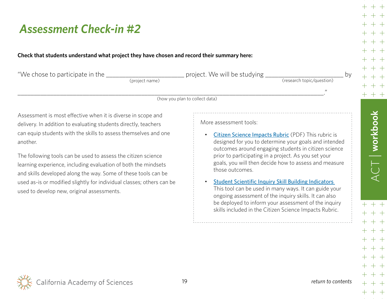## <span id="page-18-0"></span>*Assessment Check-in #2*

#### **Check that students understand what project they have chosen and record their summary here:**

| "We chose to participate in the _____<br>(project name)                                                                                                                                                                                                                                                                                                                                                                                                                                                                                    | project. We will be studying<br>bv<br>(research topic/question)<br>$^{\prime\prime}$                                                                                                                                                                                                                                                                                                                                                                                                                                                                                                                                                  |
|--------------------------------------------------------------------------------------------------------------------------------------------------------------------------------------------------------------------------------------------------------------------------------------------------------------------------------------------------------------------------------------------------------------------------------------------------------------------------------------------------------------------------------------------|---------------------------------------------------------------------------------------------------------------------------------------------------------------------------------------------------------------------------------------------------------------------------------------------------------------------------------------------------------------------------------------------------------------------------------------------------------------------------------------------------------------------------------------------------------------------------------------------------------------------------------------|
|                                                                                                                                                                                                                                                                                                                                                                                                                                                                                                                                            | (how you plan to collect data)                                                                                                                                                                                                                                                                                                                                                                                                                                                                                                                                                                                                        |
| Assessment is most effective when it is diverse in scope and<br>delivery. In addition to evaluating students directly, teachers<br>can equip students with the skills to assess themselves and one<br>another.<br>The following tools can be used to assess the citizen science<br>learning experience, including evaluation of both the mindsets<br>and skills developed along the way. Some of these tools can be<br>used as-is or modified slightly for individual classes; others can be<br>used to develop new, original assessments. | More assessment tools:<br>Citizen Science Impacts Rubric (PDF) This rubric is<br>designed for you to determine your goals and intended<br>outcomes around engaging students in citizen science<br>prior to participating in a project. As you set your<br>goals, you will then decide how to assess and measure<br>those outcomes.<br><b>Student Scientific Inquiry Skill Building Indicators</b><br>This tool can be used in many ways. It can guide your<br>ongoing assessment of the inquiry skills. It can also<br>be deployed to inform your assessment of the inquiry<br>skills included in the Citizen Science Impacts Rubric. |



ACT | **workbook**

 $++$  $+ +$  $+ +$  $++$ 

 $++$ 

 $++$  $+ +$ 

 $+ +$  $++$ 

 $+ +$ 

 $+ + +$ 

 $+$ 

 $\mathrm{+}$ 

 $+$ 

 $+$ 

 $ACT$  | workbook

 $+ +$ 

 $+ +$ 

 $++$  $+ +$ 

 $+ +$ 

 $++$ 

 $+$  +

 $+ +$ 

 $+ +$  $+ +$ 

 $+ + +$ 

 $+$ 

 $+$ 

 $+$ 

 $+$ 

 $+$  $+$ 

 $+$ 

 $+$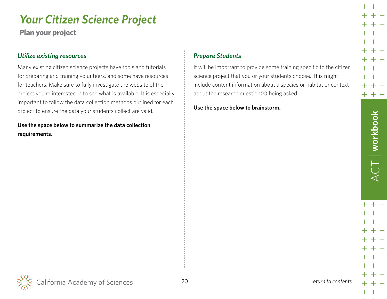<span id="page-19-0"></span>**Plan your project**

#### *Utilize existing resources*

Many existing citizen science projects have tools and tutorials for preparing and training volunteers, and some have resources for teachers. Make sure to fully investigate the website of the project you're interested in to see what is available. It is especially important to follow the data collection methods outlined for each project to ensure the data your students collect are valid.

**Use the space below to summarize the data collection requirements.**

#### *Prepare Students*

It will be important to provide some training specific to the citizen science project that you or your students choose. This might include content information about a species or habitat or context about the research question(s) being asked.

**Use the space below to brainstorm.**

 $+ +$ 

 $+~+~+$ 

 $++$ 

 $++$ 

 $+ +$  $++$  $++$ 

 $++$ 

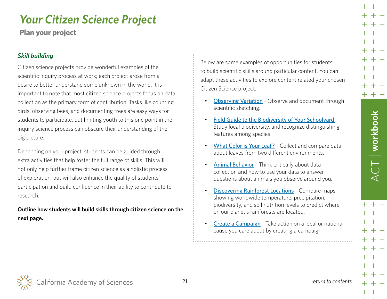<span id="page-20-0"></span>**Plan your project**

### *Skill building*

Citizen science projects provide wonderful examples of the scientific inquiry process at work; each project arose from a desire to better understand some unknown in the world. It is important to note that most citizen science projects focus on data collection as the primary form of contribution. Tasks like counting birds, observing bees, and documenting trees are easy ways for students to participate, but limiting youth to this one point in the inquiry science process can obscure their understanding of the big picture.

Depending on your project, students can be guided through extra activities that help foster the full range of skills. This will not only help further frame citizen science as a holistic process of exploration, but will also enhance the quality of students' participation and build confidence in their ability to contribute to research.

### **Outline how students will build skills through citizen science on the next page.**

Below are some examples of opportunities for students to build scientific skills around particular content. You can adapt these activities to explore content related your chosen Citizen Science project.

- **[Observing Variation](https://www.calacademy.org/educators/lesson-plans/observing-variation)** Observe and document through scientific sketching.
- [Field Guide to the Biodiversity of Your Schoolyard](http://www.calacademy.org/educators/lesson-plans/field-guide-to-the-biodiversity-of-your-schoolyard) Study local biodiversity, and recognize distinguishing features among species
- [What Color is Your Leaf?](http://www.calacademy.org/educators/lesson-plans/what-color-is-your-leaf) Collect and compare data about leaves from two different environments.
- [Animal Behavior](http://www.calacademy.org/educators/lesson-plans/gouldian-finch-behavior) Think critically about data collection and how to use your data to answer questions about animals you observe around you.
- [Discovering Rainforest Locations](https://www.calacademy.org/educators/lesson-plans/discovering-rainforest-locations) Compare maps showing worldwide temperature, precipitation, biodiversity, and soil nutrition levels to predict where on our planet's rainforests are located.
- [Create a Campaign](https://www.calacademy.org/educators/lesson-plans/create-a-campaign) Take action on a local or national cause you care about by creating a campaign.

ACT | **workbook**

 $+ +$ 

 $+$   $+$ 

╅╶╪╶╪

 $CT$  workbook

 $+ +$ 

 $+ +$ 

 $+ +$ 

 $+ +$ 

 $+ +$  $+ +$ 

California Academy of Sciences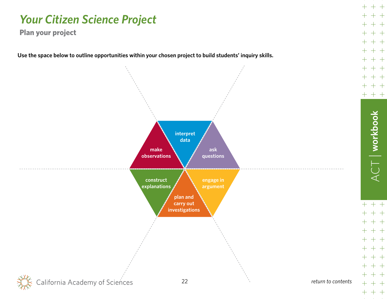**Plan your project**

**Use the space below to outline opportunities within your chosen project to build students' inquiry skills.**



ACT | **workbook**

 $+ +$  $+$   $\,$  $- +$  $+ +$  $+ +$  $+$   $+$  $+ +$  $+$   $+$  $++$ 

 $+ +$ 

 $+ + +$ 

 $ACT$  | workbook

 $++$ 

 $+ +$  $++$  $++$  $++$ 

 $+ +$  $+ +$  $+ +$  $+$   $+$  $+$  +

 $+$ 

 $\pm$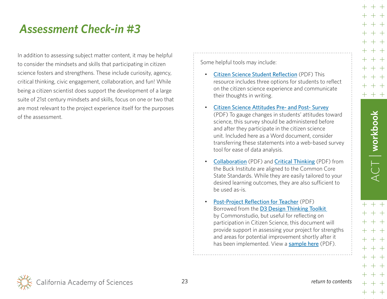## <span id="page-22-0"></span>*Assessment Check-in #3*

In addition to assessing subject matter content, it may be helpful to consider the mindsets and skills that participating in citizen science fosters and strengthens. These include curiosity, agency, critical thinking, civic engagement, collaboration, and fun! While being a citizen scientist does support the development of a large suite of 21st century mindsets and skills, focus on one or two that are most relevant to the project experience itself for the purposes of the assessment.

Some helpful tools may include:

- [Citizen Science Student Reflection](https://rebrand.ly/CSstudentreflect) (PDF) This resource includes three options for students to reflect on the citizen science experience and communicate their thoughts in writing.
- [Citizen Science Attitudes Pre- and Post- Survey](https://goo.gl/JuEjnY) (PDF) To gauge changes in students' attitudes toward science, this survey should be administered before and after they participate in the citizen science unit. Included here as a Word document, consider transferring these statements into a web-based survey tool for ease of data analysis.
- **[Collaboration](https://goo.gl/1oaC7c)** (PDF) and **[Critical Thinking](https://goo.gl/McqJK1)** (PDF) from the Buck Institute are aligned to the Common Core State Standards. While they are easily tailored to your desired learning outcomes, they are also sufficient to be used as-is.
- [Post-Project Reflection for Teacher](https://goo.gl/cYeCPd) (PDF) Borrowed from the [D3 Design Thinking Toolkit](http://www.thecommonstudio.com/d3toolkits/) by Commonstudio, but useful for reflecting on participation in Citizen Science, this document will provide support in assessing your project for strengths and areas for potential improvement shortly after it has been implemented. View a [sample here](https://goo.gl/qrWJ3N) (PDF).

ACT | **workbook**

╅╶╪╶╪

 $CT$  workbook

 $+ +$ 

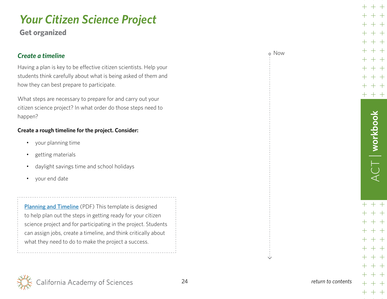<span id="page-23-0"></span>**Get organized**

| <b>Create a timeline</b><br>Having a plan is key to be effective citizen scientists. Help your<br>students think carefully about what is being asked of them and<br>how they can best prepare to participate.                                                                                                           |  |
|-------------------------------------------------------------------------------------------------------------------------------------------------------------------------------------------------------------------------------------------------------------------------------------------------------------------------|--|
| What steps are necessary to prepare for and carry out your<br>citizen science project? In what order do those steps need to<br>happen?                                                                                                                                                                                  |  |
| Create a rough timeline for the project. Consider:                                                                                                                                                                                                                                                                      |  |
| your planning time<br>getting materials<br>daylight savings time and school holidays<br>your end date                                                                                                                                                                                                                   |  |
| <b>Planning and Timeline</b> (PDF) This template is designed<br>to help plan out the steps in getting ready for your citizen<br>science project and for participating in the project. Students<br>can assign jobs, create a timeline, and think critically about<br>what they need to do to make the project a success. |  |

 $++$  $++$ ┼  $++$  $\pm$  $+ +$  $+$  $+ +$  $++$  $\pm$  $+ +$  $+ +$  $+$  $+ +$  $+ + +$ 

 $+ +$ 

 $+$ 

Now

 $ACT$  | workbook ACT | **workbook**

> $+ +$  $++$  $+ +$  $+ +$  $+\;+\;$  $+$   $+$  $+ +$  $+$  $+$

> > $+$   $+$

 $+ + +$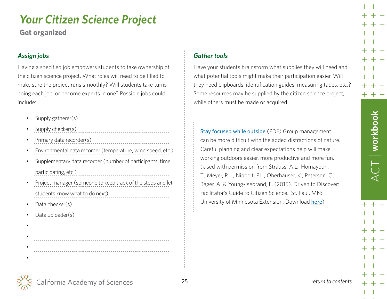<span id="page-24-0"></span>**Get organized**

## *Assign jobs*

Having a specified job empowers students to take ownership of the citizen science project. What roles will need to be filled to make sure the project runs smoothly? Will students take turns doing each job, or become experts in one? Possible jobs could include:

- Supply gatherer(s)
- Supply checker(s)
- Primary data recorder(s)
- Environmental data recorder (temperature, wind speed, etc.)

- Supplementary data recorder (number of participants, time participating, etc.)
- Project manager (someone to keep track of the steps and let students know what to do next)
- Data checker(s)
- Data uploader(s)

#### •



## *Gather tools*

Have your students brainstorm what supplies they will need and what potential tools might make their participation easier. Will they need clipboards, identification guides, measuring tapes, etc.? Some resources may be supplied by the citizen science project, while others must be made or acquired.

[Stay focused while outside](https://goo.gl/cZ3MyZ) (PDF) Group management can be more difficult with the added distractions of nature. Careful planning and clear expectations help will make working outdoors easier, more productive and more fun. (Used with permission from Strauss, A.L., Homayoun, T., Meyer, R.L., Nippolt, P.L., Oberhauser, K., Peterson, C., Rager, A.,& Young-Isebrand, E. (2015). Driven to Discover: Facilitator's Guide to Citizen Science. St. Paul, MN: University of Minnesota Extension. Download [here](www. extension.umn.edu/citizenscience))

 $+ +$ 

 $+$   $+$  $+ +$ 

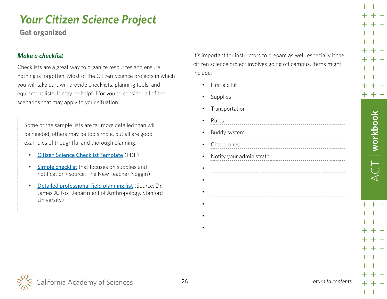<span id="page-25-0"></span>**Get organized**

### *Make a checklist*

Checklists are a great way to organize resources and ensure nothing is forgotten. Most of the Citizen Science projects in which you will take part will provide checklists, planning tools, and equipment lists. It may be helpful for you to consider all of the scenarios that may apply to your situation.

Some of the sample lists are far more detailed than will be needed, others may be too simple, but all are good examples of thoughtful and thorough planning:

- [Citizen Science Checklist Template](https://goo.gl/cruFQH) (PDF)
- [Simple checklist](http://3.bp.blogspot.com/-my3JRTl1irY/T5wjSYn2RqI/AAAAAAAAAJI/sbr8W1X8e-8/s1600/viewer-1.png) that focuses on supplies and notification (Source: [The New Teacher Noggin\)](http://thenewteachernoggin.blogspot.com/)
- [Detailed professional field planning list](http://web.stanford.edu/~popolvuh/field-checklist.htm) (Source: Dr. James A. Fox Department of Anthropology, Stanford University)

It's important for instructors to prepare as well, especially if the citizen science project involves going off campus. Items might include:

• First aid kit

| First aid kit             |
|---------------------------|
| Supplies                  |
| Transportation            |
| Rules                     |
| Buddy system              |
| Chaperones                |
| Notify your administrator |
|                           |
|                           |
|                           |
|                           |
|                           |
|                           |

alifornia Academy of Sciences

ACT | **workbook**

 $+ +$ 

 $+\ +$ 

╅╶╪╶╪

 $\sqrt{1 - \frac{1}{2}}$  workbook

 $+ +$ 

 $+ +$  $++$  $+ +$  $+ +$  $++$  $++$ 

 $+$   $+$  $+ +$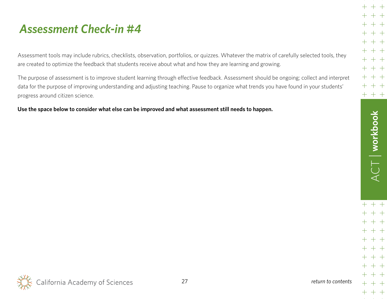## <span id="page-26-0"></span>*Assessment Check-in #4*

Assessment tools may include rubrics, checklists, observation, portfolios, or quizzes. Whatever the matrix of carefully selected tools, they are created to optimize the feedback that students receive about what and how they are learning and growing.

The purpose of assessment is to improve student learning through effective feedback. Assessment should be ongoing; collect and interpret data for the purpose of improving understanding and adjusting teaching. Pause to organize what trends you have found in your students' progress around citizen science.

**Use the space below to consider what else can be improved and what assessment still needs to happen.**

 $+ +$  $++$  $+$  $++$  $+$  $+ +$  $+$  $+ +$  $+$  $+ +$  $+ +$  $+$  $++$  $++$   $+$   $+$ 

 $+$ 

 $+ +$ 

 $+ +$  $+ +$  $+ +$  $+ +$  $+ +$ 

 $+ +$  $++$ 

 $+ + +$ 

 $+ + +$ 

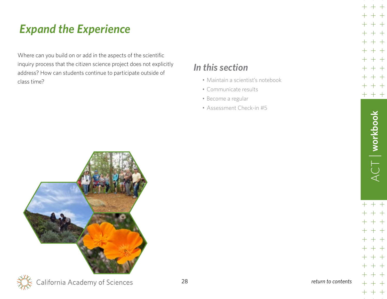## <span id="page-27-0"></span>*Expand the Experience*

Where can you build on or add in the aspects of the scientific inquiry process that the citizen science project does not explicitly address? How can students continue to participate outside of class time?

## *In this section*

- [Maintain a scientist's notebook](#page-28-0)
- [Communicate results](#page-29-0)
- [Become a regular](#page-29-0)
- [Assessment Check-in #5](#page-30-0)





 $+$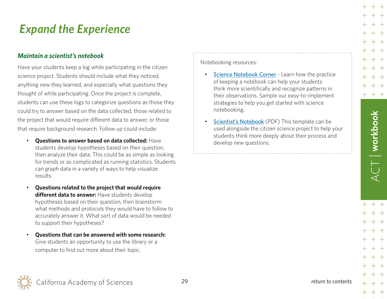## <span id="page-28-0"></span>*Expand the Experience*

### *Maintain a scientist's notebook*

Have your students keep a log while participating in the citizen science project. Students should include what they noticed, anything new they learned, and especially what questions they thought of while participating. Once the project is complete, students can use these logs to categorize questions as those they could try to answer based on the data collected, those related to the project that would require different data to answer, or those that require background research. Follow up could include:

- **Questions to answer based on data collected:** Have students develop hypotheses based on their question, then analyze their data. This could be as simple as looking for trends or as complicated as running statistics. Students can graph data in a variety of ways to help visualize results.
- **Questions related to the project that would require different data to answer:** Have students develop hypotheses based on their question, then brainstorm what methods and protocols they would have to follow to accurately answer it. What sort of data would be needed to support their hypotheses?
- **Questions that can be answered with some research:** Give students an opportunity to use the library or a computer to find out more about their topic.

Notebooking resources:

- [Science Notebook Corner](http://www.calacademy.org/educators/science-notebook-corner) Learn how the practice of keeping a notebook can help your students think more scientifically and recognize patterns in their observations. Sample our easy-to-implement strategies to help you get started with science notebooking.
- [Scientist's Notebook](http://goo.gl/JoubJY) (PDF) This template can be used alongside the citizen science project to help your students think more deeply about their process and develop new questions.

 $+ +$ 

╅╶╪╶╪

 $+ +$ 

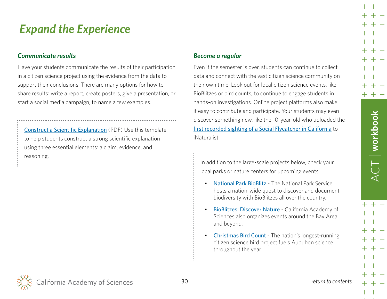## <span id="page-29-0"></span>*Expand the Experience*

### *Communicate results*

Have your students communicate the results of their participation in a citizen science project using the evidence from the data to support their conclusions. There are many options for how to share results: write a report, create posters, give a presentation, or start a social media campaign, to name a few examples.

[Construct a Scientific Explanation](https://goo.gl/TWyXAH) (PDF) Use this template to help students construct a strong scientific explanation using three essential elements: a claim, evidence, and reasoning.

#### *Become a regular*

Even if the semester is over, students can continue to collect data and connect with the vast citizen science community on their own time. Look out for local citizen science events, like BioBlitzes or bird counts, to continue to engage students in hands-on investigations. Online project platforms also make it easy to contribute and participate. Your students may even discover something new, like the 10-year-old who uploaded the [first recorded sighting of a Social Flycatcher in California](http://blog.aba.org/2015/11/rare-bird-alert-november-6-2015.html) to iNaturalist.

In addition to the large-scale projects below, check your local parks or nature centers for upcoming events.

- [National Park BioBlitz](https://www.nps.gov/subjects/biodiversity/national-parks-bioblitz.htm) The National Park Service hosts a nation-wide quest to discover and document biodiversity with BioBlitzes all over the country.
- [BioBlitzes: Discover Nature](https://www.calacademy.org/citizen-science/bioblitzes) California Academy of Sciences also organizes events around the Bay Area and beyond.
- [Christmas Bird Count](https://www.audubon.org/conservation/science/christmas-bird-count) The nation's longest-running citizen science bird project fuels Audubon science throughout the year.

ACT | **workbook**

 $+~+~+$ 

 $T$  workbook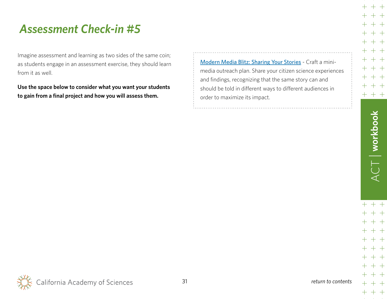## <span id="page-30-0"></span>*Assessment Check-in #5*

Imagine assessment and learning as two sides of the same coin; as students engage in an assessment exercise, they should learn from it as well.

**Use the space below to consider what you want your students to gain from a final project and how you will assess them.**

[Modern Media Blitz: Sharing Your Stories](https://www.calacademy.org/educators/lesson-plans/modern-media-blitz) - Craft a minimedia outreach plan. Share your citizen science experiences and findings, recognizing that the same story can and should be told in different ways to different audiences in order to maximize its impact.

 $+$   $\,$ 

 $+\ +$ 

 $++~+~+$ 

 $+$   $+$ 

 $+$   $+$  $+$ 

 $+ +$  $+ +$ 

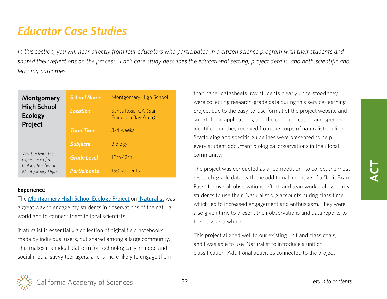## <span id="page-31-0"></span>*Educator Case Studies*

*In this section, you will hear directly from four educators who participated in a citizen science program with their students and shared their reflections on the process. Each case study describes the educational setting, project details, and both scientific and learning outcomes.*

| Montgomery                                      | <b>School Name</b>  | Montgomery High School                     |
|-------------------------------------------------|---------------------|--------------------------------------------|
| <b>High School</b><br><b>Ecology</b><br>Project | Location            | Santa Rosa, CA (San<br>Francisco Bay Area) |
|                                                 | <b>Total Time</b>   | 3-4 weeks                                  |
|                                                 | <b>Subjects</b>     | <b>Biology</b>                             |
| Written from the<br>experience of a             | <b>Grade Level</b>  | 10th-12th                                  |
| biology teacher at<br>Montgomery High.          | <b>Participants</b> | 150 students                               |

#### **Experience**

The [Montgomery High School Ecology Project](https://www.inaturalist.org/projects/montgomery-high-school-ecology-project) on [iNaturalist](http://www.inaturalist.org/) was a great way to engage my students in observations of the natural world and to connect them to local scientists.

iNaturalist is essentially a collection of digital field notebooks, made by individual users, but shared among a large community. This makes it an ideal platform for technologically-minded and social media-savvy teenagers, and is more likely to engage them than paper datasheets. My students clearly understood they were collecting research-grade data during this service-learning project due to the easy-to-use format of the project website and smartphone applications, and the communication and species identification they received from the corps of naturalists online. Scaffolding and specific guidelines were presented to help every student document biological observations in their local community.

The project was conducted as a "competition" to collect the most research-grade data, with the additional incentive of a "Unit Exam Pass" for overall observations, effort, and teamwork. I allowed my students to use their iNaturalist.org accounts during class time, which led to increased engagement and enthusiasm. They were also given time to present their observations and data reports to the class as a whole.

This project aligned well to our existing unit and class goals, and I was able to use iNaturalist to introduce a unit on classification. Additional activities connected to the project

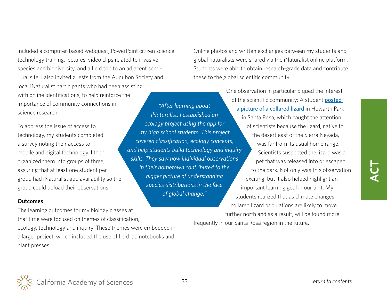included a computer-based webquest, PowerPoint citizen science technology training, lectures, video clips related to invasive species and biodiversity, and a field trip to an adjacent semirural site. I also invited guests from the Audubon Society and local iNaturalist participants who had been assisting with online identifications, to help reinforce the importance of community connections in science research. *"After learning about* 

To address the issue of access to technology, my students completed a survey noting their access to mobile and digital technology. I then organized them into groups of three, assuring that at least one student per group had iNaturalist app availability so the group could upload their observations.

#### **Outcomes**

The learning outcomes for my biology classes at that time were focused on themes of classification, ecology, technology and inquiry. These themes were embedded in a larger project, which included the use of field lab notebooks and plant presses.

Online photos and written exchanges between my students and global naturalists were shared via the iNaturalist online platform. Students were able to obtain research-grade data and contribute these to the global scientific community.

One observation in particular piqued the interest of the scientific community: A student [posted](http://www.inaturalist.org/observations/66430)  [a picture of a collared lizard](http://www.inaturalist.org/observations/66430) in Howarth Park in Santa Rosa, which caught the attention of scientists because the lizard, native to the desert east of the Sierra Nevada, was far from its usual home range. Scientists suspected the lizard was a pet that was released into or escaped to the park. Not only was this observation exciting, but it also helped highlight an important learning goal in our unit. My students realized that as climate changes, collared lizard populations are likely to move further north and as a result, will be found more frequently in our Santa Rosa region in the future.

*iNaturalist, I established an ecology project using the app for my high school students. This project covered classification, ecology concepts, and help students build technology and inquiry skills. They saw how individual observations in their hometown contributed to the bigger picture of understanding species distributions in the face of global change."*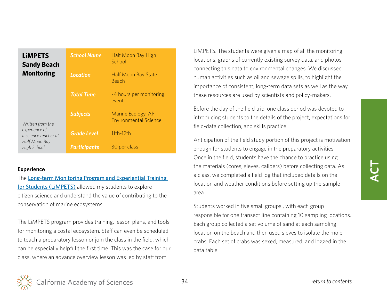| <b>LIMPETS</b><br><b>Sandy Beach</b>  | <b>School Name</b>  | Half Moon Bay High<br>School                       |
|---------------------------------------|---------------------|----------------------------------------------------|
| <b>Monitoring</b>                     | <b>Location</b>     | <b>Half Moon Bay State</b><br>Beach                |
|                                       | <b>Total Time</b>   | ~4 hours per monitoring<br>event                   |
| Written from the                      | <b>Subjects</b>     | Marine Ecology, AP<br><b>Environmental Science</b> |
| experience of<br>a science teacher at | <b>Grade Level</b>  | $11th-12th$                                        |
| Half Moon Bay<br>High School.         | <b>Participants</b> | 30 per class                                       |

#### **Experience**

The [Long-term Monitoring Program and Experiential Training](http://limpetsmonitoring.org/)  [for Students](http://limpetsmonitoring.org/) (LiMPETS) allowed my students to explore citizen science and understand the value of contributing to the conservation of marine ecosystems.

The LiMPETS program provides training, lesson plans, and tools for monitoring a costal ecosystem. Staff can even be scheduled to teach a preparatory lesson or join the class in the field, which can be especially helpful the first time. This was the case for our class, where an advance overview lesson was led by staff from

LiMPETS. The students were given a map of all the monitoring locations, graphs of currently existing survey data, and photos connecting this data to environmental changes. We discussed human activities such as oil and sewage spills, to highlight the importance of consistent, long-term data sets as well as the way these resources are used by scientists and policy-makers.

Before the day of the field trip, one class period was devoted to introducing students to the details of the project, expectations for field-data collection, and skills practice.

Anticipation of the field study portion of this project is motivation enough for students to engage in the preparatory activities. Once in the field, students have the chance to practice using the materials (cores, sieves, calipers) before collecting data. As a class, we completed a field log that included details on the location and weather conditions before setting up the sample area.

Students worked in five small groups , with each group responsible for one transect line containing 10 sampling locations. Each group collected a set volume of sand at each sampling location on the beach and then used sieves to isolate the mole crabs. Each set of crabs was sexed, measured, and logged in the data table.

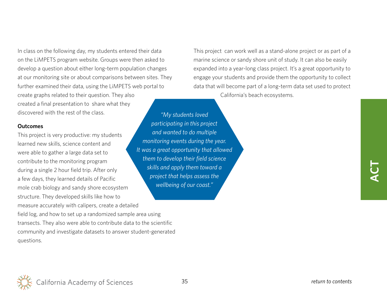In class on the following day, my students entered their data on the LiMPETS program website. Groups were then asked to develop a question about either long-term population changes at our monitoring site or about comparisons between sites. They further examined their data, using the LiMPETS web portal to create graphs related to their question. They also created a final presentation to share what they discovered with the rest of the class.

#### **Outcomes**

This project is very productive: my students learned new skills, science content and were able to gather a large data set to contribute to the monitoring program during a single 2 hour field trip. After only a few days, they learned details of Pacific mole crab biology and sandy shore ecosystem structure. They developed skills like how to measure accurately with calipers, create a detailed field log, and how to set up a randomized sample area using transects. They also were able to contribute data to the scientific community and investigate datasets to answer student-generated questions.

This project can work well as a stand-alone project or as part of a marine science or sandy shore unit of study. It can also be easily expanded into a year-long class project. It's a great opportunity to engage your students and provide them the opportunity to collect data that will become part of a long-term data set used to protect California's beach ecosystems.

*"My students loved participating in this project and wanted to do multiple monitoring events during the year. It was a great opportunity that allowed them to develop their field science skills and apply them toward a project that helps assess the wellbeing of our coast."*

**ACT**

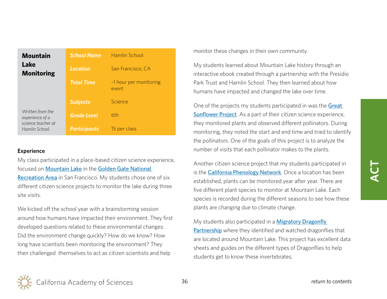| <b>Mountain</b>                                           | <b>School Name</b>  | Hamlin School                   |
|-----------------------------------------------------------|---------------------|---------------------------------|
| Lake<br><b>Monitoring</b>                                 | <b>Location</b>     | San Francisco, CA               |
|                                                           | <b>Total Time</b>   | ~1 hour per monitoring<br>event |
|                                                           | <b>Subjects</b>     | Science                         |
| Written from the<br>experience of a<br>science teacher at | <b>Grade Level</b>  | 6th                             |
| Hamlin School.                                            | <b>Participants</b> | 15 per class                    |

#### **Experience**

My class participated in a place-based citizen science experience, focused on [Mountain Lake](http://www.presidio.gov/places/Pages/mountain-lake.aspx) in the [Golden Gate National](https://www.nps.gov/goga/index.htm)  [Recreation Area](https://www.nps.gov/goga/index.htm) in San Francisco. My students chose one of six different citizen science projects to monitor the lake during three site visits.

We kicked off the school year with a brainstorming session around how humans have impacted their environment. They first developed questions related to these environmental changes: Did the environment change quickly? How do we know? How long have scientists been monitoring the environment? They then challenged themselves to act as citizen scientists and help

monitor these changes in their own community.

My students learned about Mountain Lake history through an interactive ebook created through a partnership with the Presidio Park Trust and Hamlin School. They then learned about how humans have impacted and changed the lake over time.

One of the projects my students participated in was the **Great** [Sunflower Project](http://www.greatsunflower.org). As a part of their citizen science experience, they monitored plants and observed different pollinators. During monitoring, they noted the start and end time and tried to identify the pollinators. One of the goals of this project is to analyze the number of visits that each pollinator makes to the plants.

Another citizen science project that my students participated in is the **[California Phenology Network](https://www.usanpn.org/cpp/)**. Once a location has been established, plants can be monitored year after year. There are five different plant species to monitor at Mountain Lake. Each species is recorded during the different seasons to see how these plants are changing due to climate change.

My students also participated in a **Migratory Dragonfly** [Partnership](http://www.migratorydragonflypartnership.org/index/welcome) where they identified and watched dragonflies that are located around Mountain Lake. This project has excellent data sheets and guides on the different types of Dragonflies to help students get to know these invertebrates.

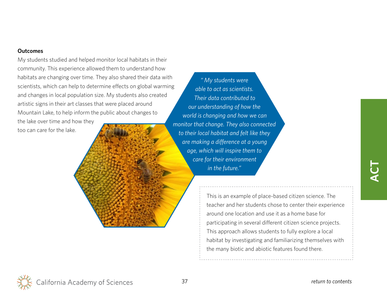#### **Outcomes**

My students studied and helped monitor local habitats in their community. This experience allowed them to understand how habitats are changing over time. They also shared their data with scientists, which can help to determine effects on global warming and changes in local population size. My students also created artistic signs in their art classes that were placed around Mountain Lake, to help inform the public about changes to the lake over time and how they too can care for the lake.

*" My students were able to act as scientists. Their data contributed to our understanding of how the world is changing and how we can monitor that change. They also connected to their local habitat and felt like they are making a difference at a young age, which will inspire them to care for their environment in the future."*

> This is an example of place-based citizen science. The teacher and her students chose to center their experience around one location and use it as a home base for participating in several different citizen science projects. This approach allows students to fully explore a local habitat by investigating and familiarizing themselves with the many biotic and abiotic features found there.

California Academy of Sciences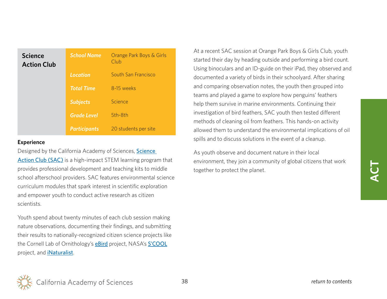| <b>Science</b><br><b>Action Club</b> | <b>School Name</b>  | Orange Park Boys & Girls<br>Club |
|--------------------------------------|---------------------|----------------------------------|
|                                      | <b>Location</b>     | South San Francisco              |
|                                      | <b>Total Time</b>   | 8-15 weeks                       |
|                                      | <b>Subjects</b>     | Science                          |
|                                      | <b>Grade Level</b>  | 5th-8th                          |
|                                      | <b>Participants</b> | 20 students per site             |

#### **Experience**

Designed by the California Academy of Sciences, Science [Action Club \(SAC\)](http://www.calacademy.org/science-action-club-sac) is a high-impact STEM learning program that provides professional development and teaching kits to middle school afterschool providers. SAC features environmental science curriculum modules that spark interest in scientific exploration and empower youth to conduct active research as citizen scientists.

Youth spend about twenty minutes of each club session making nature observations, documenting their findings, and submitting their results to nationally-recognized citizen science projects like the Cornell Lab of Ornithology's **[eBird](http://ebird.org/content/ebird/)** project, NASA's **[S'COOL](https://scool.larc.nasa.gov/)** project, and [iNaturalist](http://www.inaturalist.org/).

At a recent SAC session at Orange Park Boys & Girls Club, youth started their day by heading outside and performing a bird count. Using binoculars and an ID-guide on their iPad, they observed and documented a variety of birds in their schoolyard. After sharing and comparing observation notes, the youth then grouped into teams and played a game to explore how penguins' feathers help them survive in marine environments. Continuing their investigation of bird feathers, SAC youth then tested different methods of cleaning oil from feathers. This hands-on activity allowed them to understand the environmental implications of oil spills and to discuss solutions in the event of a cleanup.

As youth observe and document nature in their local environment, they join a community of global citizens that work together to protect the planet.

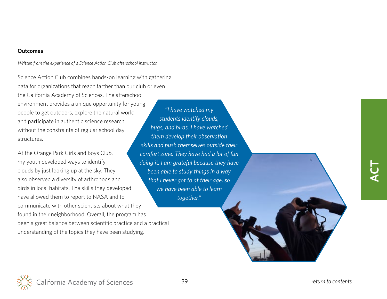#### **Outcomes**

*Written from the experience of a Science Action Club afterschool instructor.*

Science Action Club combines hands-on learning with gathering data for organizations that reach farther than our club or even the California Academy of Sciences. The afterschool environment provides a unique opportunity for young people to get outdoors, explore the natural world, and participate in authentic science research without the constraints of regular school day structures.

At the Orange Park Girls and Boys Club, my youth developed ways to identify clouds by just looking up at the sky. They also observed a diversity of arthropods and birds in local habitats. The skills they developed have allowed them to report to NASA and to communicate with other scientists about what they found in their neighborhood. Overall, the program has been a great balance between scientific practice and a practical understanding of the topics they have been studying.

*"I have watched my students identify clouds, bugs, and birds. I have watched them develop their observation skills and push themselves outside their comfort zone. They have had a lot of fun doing it. I am grateful because they have been able to study things in a way that I never got to at their age, so we have been able to learn together."*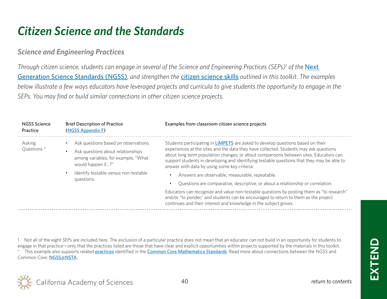## <span id="page-39-0"></span>*Citizen Science and the Standards*

## *Science and Engineering Practices*

*Through citizen science, students can engage in several of the Science and Engineering Practices (SEPs)<sup>1</sup> of the Next* [Generation Science Standards \(NGSS\)](http://www.nextgenscience.org/)*, and strengthen the* [citizen science skills](#page-6-0) *outlined in this toolkit. The examples below illustrate a few ways educators have leveraged projects and curricula to give students the opportunity to engage in the SEPs. You may find or build similar connections in other citizen science projects.*

| <b>NGSS Science</b><br>Practice | <b>Brief Description of Practice</b><br>(NGSS Appendix F)                                                                                                                                                      | Examples from classroom citizen science projects                                                                                                                                                                                                                                                                                                                                                                                                                                                                                                                                                                                                                                                                                                                                                                     |
|---------------------------------|----------------------------------------------------------------------------------------------------------------------------------------------------------------------------------------------------------------|----------------------------------------------------------------------------------------------------------------------------------------------------------------------------------------------------------------------------------------------------------------------------------------------------------------------------------------------------------------------------------------------------------------------------------------------------------------------------------------------------------------------------------------------------------------------------------------------------------------------------------------------------------------------------------------------------------------------------------------------------------------------------------------------------------------------|
| Asking<br>Questions *           | Ask questions based on observations.<br>Ask questions about relationships<br>$\bullet$<br>among variables, for example, "What<br>would happen if?"<br>Identify testable versus non-testable<br>٠<br>questions. | Students participating in <b>LIMPETS</b> are asked to develop questions based on their<br>experiences at the sites and the data they have collected. Students may ask questions<br>about long term population changes, or about comparisons between sites. Educators can<br>support students in developing and identifying testable questions that they may be able to<br>answer with data by using some key criteria:<br>Answers are observable, measurable, repeatable.<br>Questions are comparative, descriptive, or about a relationship or correlation.<br>Educators can recognize and value non-testable questions by posting them as "to research"<br>and/or "to ponder," and students can be encouraged to return to them as the project<br>continues and their interest and knowledge in the subject grows. |

1 Not all of the eight SEPs are included here. The exclusion of a particular practice does not mean that an educator can not build in an opportunity for students to engage in that practice—only that the practices listed are those that have clear and explicit opportunities within projects supported by the materials in this toolkit.

This example also supports related [practices](http://www.corestandards.org/Math/Practice/) identified in the [Common Core Mathematics Standards](http://www.corestandards.org/Math/). Read more about connections between the NGSS and Common Core: [NGSS@NSTA](http://ngss.nsta.org/making-connections-common-core.aspx).

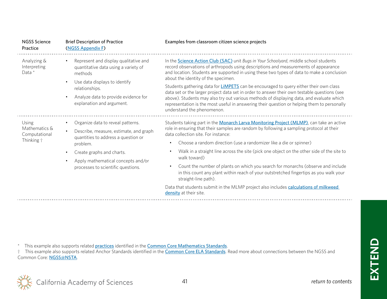| <b>NGSS Science</b><br>Practice                       | <b>Brief Description of Practice</b><br>(NGSS Appendix F)                                                                                                                                                                                                         | Examples from classroom citizen science projects                                                                                                                                                                                                                                                                                                                                                                                                                                                                                                                                                                                                                                                                                                            |
|-------------------------------------------------------|-------------------------------------------------------------------------------------------------------------------------------------------------------------------------------------------------------------------------------------------------------------------|-------------------------------------------------------------------------------------------------------------------------------------------------------------------------------------------------------------------------------------------------------------------------------------------------------------------------------------------------------------------------------------------------------------------------------------------------------------------------------------------------------------------------------------------------------------------------------------------------------------------------------------------------------------------------------------------------------------------------------------------------------------|
| Analyzing &<br>Interpreting<br>Data *                 | Represent and display qualitative and<br>٠<br>quantitative data using a variety of<br>methods<br>Use data displays to identify<br>$\bullet$                                                                                                                       | In the <b>Science Action Club (SAC)</b> unit Bugs in Your Schoolyard, middle school students<br>record observations of arthropods using descriptions and measurements of appearance<br>and location. Students are supported in using these two types of data to make a conclusion<br>about the identity of the specimen.                                                                                                                                                                                                                                                                                                                                                                                                                                    |
|                                                       | relationships.                                                                                                                                                                                                                                                    | Students gathering data for <b>LIMPETS</b> can be encouraged to query either their own class<br>data set or the larger project data set in order to answer their own testable questions (see                                                                                                                                                                                                                                                                                                                                                                                                                                                                                                                                                                |
|                                                       | Analyze data to provide evidence for<br>$\bullet$<br>explanation and argument.                                                                                                                                                                                    | above). Students may also try out various methods of displaying data, and evaluate which<br>representation is the most useful in answering their question or helping them to personally<br>understand the phenomenon.                                                                                                                                                                                                                                                                                                                                                                                                                                                                                                                                       |
| Using<br>Mathematics &<br>Computational<br>Thinking † | Organize data to reveal patterns.<br>Describe, measure, estimate, and graph<br>quantities to address a question or<br>problem.<br>Create graphs and charts.<br>$\bullet$<br>Apply mathematical concepts and/or<br>$\bullet$<br>processes to scientific questions. | Students taking part in the Monarch Larva Monitoring Project (MLMP), can take an active<br>role in ensuring that their samples are random by following a sampling protocol at their<br>data collection site. For instance:<br>Choose a random direction (use a randomizer like a die or spinner)<br>٠<br>Walk in a straight line across the site (pick one object on the other side of the site to<br>$\bullet$<br>walk toward)<br>Count the number of plants on which you search for monarchs (observe and include<br>٠<br>in this count any plant within reach of your outstretched fingertips as you walk your<br>straight-line path).<br>Data that students submit in the MLMP project also includes calculations of milkweed<br>density at their site. |
|                                                       |                                                                                                                                                                                                                                                                   |                                                                                                                                                                                                                                                                                                                                                                                                                                                                                                                                                                                                                                                                                                                                                             |

\* This example also supports related **[practices](http://www.corestandards.org/Math/Practice/)** identified in the **[Common Core Mathematics Standards](http://www.corestandards.org/Math/)**.

<sup>†</sup> This example also supports related Anchor Standards identified in the **[Common Core ELA Standards](http://www.corestandards.org/ELA-Literacy/)**. Read more about connections between the NGSS and Common Core: [NGSS@NSTA](http://ngss.nsta.org/making-connections-common-core.aspx).

**EXTEND**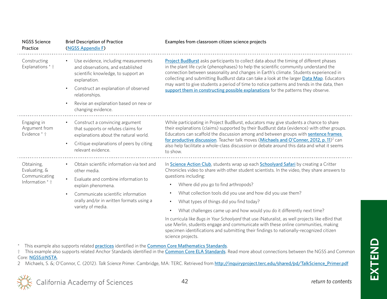| <b>NGSS Science</b><br>Practice                                 | <b>Brief Description of Practice</b><br>(NGSS Appendix F)                                                                                                                                                                                                 | Examples from classroom citizen science projects                                                                                                                                                                                                                                                                                                                                                                                                                                                                                                                                                                                                                                                                                                         |
|-----------------------------------------------------------------|-----------------------------------------------------------------------------------------------------------------------------------------------------------------------------------------------------------------------------------------------------------|----------------------------------------------------------------------------------------------------------------------------------------------------------------------------------------------------------------------------------------------------------------------------------------------------------------------------------------------------------------------------------------------------------------------------------------------------------------------------------------------------------------------------------------------------------------------------------------------------------------------------------------------------------------------------------------------------------------------------------------------------------|
| Constructing<br>Explanations * †                                | Use evidence, including measurements<br>and observations, and established<br>scientific knowledge, to support an<br>explanation.<br>Construct an explanation of observed<br>relationships.<br>Revise an explanation based on new or<br>changing evidence. | Project BudBurst asks participants to collect data about the timing of different phases<br>in the plant life cycle (phenophases) to help the scientific community understand the<br>connection between seasonality and changes in Earth's climate. Students experienced in<br>collecting and submitting BudBurst data can take a look at the larger Data Map. Educators<br>may want to give students a period of time to notice patterns and trends in the data, then<br>support them in constructing possible explanations for the patterns they observe.                                                                                                                                                                                               |
| Engaging in<br>Argument from<br>Evidence * †                    | Construct a convincing argument<br>that supports or refutes claims for<br>explanations about the natural world.<br>Critique explanations of peers by citing<br>relevant evidence.                                                                         | While participating in Project BudBurst, educators may give students a chance to share<br>their explanations (claims) supported by their BudBurst data (evidence) with other groups.<br>Educators can scaffold the discussion among and between groups with sentence frames<br>for productive discussion. Teacher talk moves (Michaels and O'Conner, 2012, p. 11) <sup>2</sup> can<br>also help facilitate a whole-class discussion or debate around this data and what it seems<br>to show.                                                                                                                                                                                                                                                             |
| Obtaining,<br>Evaluating, &<br>Communicating<br>Information * † | Obtain scientific information via text and<br>other media.<br>Evaluate and combine information to<br>explain phenomena.<br>Communicate scientific information<br>orally and/or in written formats using a<br>variety of media.                            | In Science Action Club, students wrap up each Schoolyard Safari by creating a Critter<br>Chronicles video to share with other student scientists. In the video, they share answers to<br>questions including:<br>Where did you go to find arthropods?<br>What collection tools did you use and how did you use them?<br>What types of things did you find today?<br>$\bullet$<br>What challenges came up and how would you do it differently next time?<br>$\bullet$<br>In curricula like Bugs in Your Schoolyard that use iNaturalist, as well projects like eBird that<br>use Merlin, students engage and communicate with these online communities, making<br>specimen identifications and submitting their findings to nationally-recognized citizen |

\* This example also supports related **[practices](http://www.corestandards.org/Math/Practice/)** identified in the **[Common Core Mathematics Standards](http://www.corestandards.org/Math/)**.

<sup>†</sup> This example also supports related Anchor Standards identified in the **[Common Core ELA Standards](http://www.corestandards.org/ELA-Literacy/)**. Read more about connections between the NGSS and Common Core: [NGSS@NSTA](http://ngss.nsta.org/making-connections-common-core.aspx).

2 Michaels, S. &; O'Connor, C. (2012). *Talk Science Primer*. Cambridge, MA: TERC. Retrieved from [http://inquiryproject.terc.edu/shared/pd/TalkScience\\_Primer.pdf](http://inquiryproject.terc.edu/shared/pd/TalkScience_Primer.pdf)

science projects.



**EXTEND**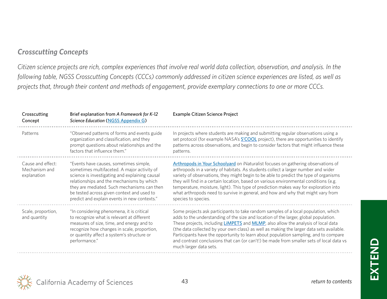## *Crosscutting Concepts*

*Citizen science projects are rich, complex experiences that involve real world data collection, observation, and analysis. In the following table, NGSS Crosscutting Concepts (CCCs) commonly addressed in citizen science experiences are listed, as well as projects that, through their content and methods of engagement, provide exemplary connections to one or more CCCs.*

| Crosscutting<br>Concept                           | Brief explanation from A Framework for K-12<br>Science Education (NGSS Appendix G)                                                                                                                                                                                                                                                | Example Citizen Science Project                                                                                                                                                                                                                                                                                                                                                                                                                                                                                                                                                          |
|---------------------------------------------------|-----------------------------------------------------------------------------------------------------------------------------------------------------------------------------------------------------------------------------------------------------------------------------------------------------------------------------------|------------------------------------------------------------------------------------------------------------------------------------------------------------------------------------------------------------------------------------------------------------------------------------------------------------------------------------------------------------------------------------------------------------------------------------------------------------------------------------------------------------------------------------------------------------------------------------------|
| Patterns                                          | "Observed patterns of forms and events guide<br>organization and classification, and they<br>prompt questions about relationships and the<br>factors that influence them."                                                                                                                                                        | In projects where students are making and submitting regular observations using a<br>set protocol (for example NASA's S'COOL project), there are opportunities to identify<br>patterns across observations, and begin to consider factors that might influence these<br>patterns.                                                                                                                                                                                                                                                                                                        |
| Cause and effect:<br>Mechanism and<br>explanation | "Events have causes, sometimes simple,<br>sometimes multifaceted. A major activity of<br>science is investigating and explaining causal<br>relationships and the mechanisms by which<br>they are mediated. Such mechanisms can then<br>be tested across given context and used to<br>predict and explain events in new contexts." | Arthropods in Your Schoolyard on iNaturalist focuses on gathering observations of<br>arthropods in a variety of habitats. As students collect a larger number and wider<br>variety of observations, they might begin to be able to predict the type of organisms<br>they will find in a certain location, based on various environmental conditions (e.g.<br>temperature, moisture, light). This type of prediction makes way for exploration into<br>what arthropods need to survive in general, and how and why that might vary from<br>species to species.                            |
| Scale, proportion,<br>and quantity                | "In considering phenomena, it is critical<br>to recognize what is relevant at different<br>measures of size, time, and energy and to<br>recognize how changes in scale, proportion,<br>or quantity affect a system's structure or<br>performance."                                                                                | Some projects ask participants to take random samples of a local population, which<br>adds to the understanding of the size and location of the larger, global population.<br>These projects, including <b>LiMPETS</b> and <b>MLMP</b> , also allow the analysis of local data<br>(the data collected by your own class) as well as making the larger data sets available.<br>Participants have the opportunity to learn about population sampling, and to compare<br>and contrast conclusions that can (or can't!) be made from smaller sets of local data vs<br>much larger data sets. |

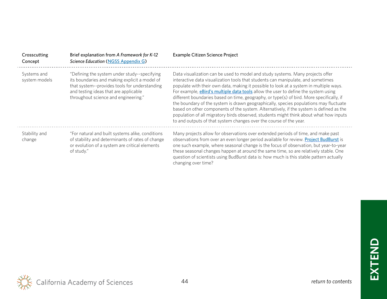| Crosscutting<br>Concept      | Brief explanation from A Framework for K-12<br><b>Science Education (NGSS Appendix G)</b>                                                                                                                                       | Example Citizen Science Project                                                                                                                                                                                                                                                                                                                                                                                                                                                                                                                                                                                                                                                                                                                                                                           |
|------------------------------|---------------------------------------------------------------------------------------------------------------------------------------------------------------------------------------------------------------------------------|-----------------------------------------------------------------------------------------------------------------------------------------------------------------------------------------------------------------------------------------------------------------------------------------------------------------------------------------------------------------------------------------------------------------------------------------------------------------------------------------------------------------------------------------------------------------------------------------------------------------------------------------------------------------------------------------------------------------------------------------------------------------------------------------------------------|
| Systems and<br>system models | "Defining the system under study--specifying<br>its boundaries and making explicit a model of<br>that system--provides tools for understanding<br>and testing ideas that are applicable<br>throughout science and engineering." | Data visualization can be used to model and study systems. Many projects offer<br>interactive data visualization tools that students can manipulate, and sometimes<br>populate with their own data, making it possible to look at a system in multiple ways.<br>For example, <i>eBird's multiple data tools</i> allow the user to define the system using<br>different boundaries based on time, geography, or type(s) of bird. More specifically, if<br>the boundary of the system is drawn geographically, species populations may fluctuate<br>based on other components of the system. Alternatively, if the system is defined as the<br>population of all migratory birds observed, students might think about what how inputs<br>to and outputs of that system changes over the course of the year. |
| Stability and<br>change      | "For natural and built systems alike, conditions<br>of stability and determinants of rates of change<br>or evolution of a system are critical elements<br>of study."                                                            | Many projects allow for observations over extended periods of time, and make past<br>observations from over an even longer period available for review. Project BudBurst is<br>one such example, where seasonal change is the focus of observation, but year-to-year<br>these seasonal changes happen at around the same time, so are relatively stable. One<br>question of scientists using BudBurst data is: how much is this stable pattern actually<br>changing over time?                                                                                                                                                                                                                                                                                                                            |

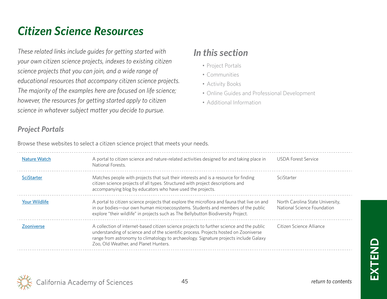## <span id="page-44-0"></span>*Citizen Science Resources*

*These related links include guides for getting started with your own citizen science projects, indexes to existing citizen science projects that you can join, and a wide range of educational resources that accompany citizen science projects. The majority of the examples here are focused on life science; however, the resources for getting started apply to citizen science in whatever subject matter you decide to pursue.* 

## *In this section*

- Project Portals
- [Communities](#page-45-0)
- [Activity Books](#page-45-0)
- [Online Guides and Professional Development](#page-46-0)
- [Additional Information](#page-47-0)

## *Project Portals*

Browse these websites to select a citizen science project that meets your needs.

| Nature Watch         | A portal to citizen science and nature-related activities designed for and taking place in<br>National Forests.                                                                                                                                                                                                      | USDA Forest Service                                             |
|----------------------|----------------------------------------------------------------------------------------------------------------------------------------------------------------------------------------------------------------------------------------------------------------------------------------------------------------------|-----------------------------------------------------------------|
| <b>SciStarter</b>    | Matches people with projects that suit their interests and is a resource for finding<br>citizen science projects of all types. Structured with project descriptions and<br>accompanying blog by educators who have used the projects.                                                                                | SciStarter                                                      |
| <b>Your Wildlife</b> | A portal to citizen science projects that explore the microflora and fauna that live on and<br>in our bodies-our own human microecosystems. Students and members of the public<br>explore "their wildlife" in projects such as The Bellybutton Biodiversity Project.                                                 | North Carolina State University,<br>National Science Foundation |
| <b>Zooniverse</b>    | A collection of internet-based citizen science projects to further science and the public<br>understanding of science and of the scientific process. Projects hosted on Zooniverse<br>range from astronomy to climatology to archaeology. Signature projects include Galaxy<br>Zoo, Old Weather, and Planet Hunters. | Citizen Science Alliance                                        |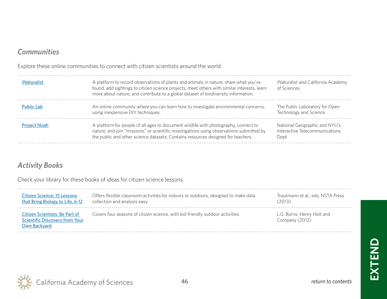## <span id="page-45-0"></span>*Communities*

Explore these online communities to connect with citizen scientists around the world.

| iNaturalist         | A platform to record observations of plants and animals in nature, share what you've<br>found, add sightings to citizen science projects, meet others with similar interests, learn<br>more about nature, and contribute to a global dataset of biodiversity information. | iNaturalist and California Academy<br>of Sciences                       |
|---------------------|---------------------------------------------------------------------------------------------------------------------------------------------------------------------------------------------------------------------------------------------------------------------------|-------------------------------------------------------------------------|
| <b>Public Lab</b>   | An online community where you can learn how to investigate environmental concerns,<br>using inexpensive DIY techniques.                                                                                                                                                   | The Public Laboratory for Open<br>Technology and Science                |
| <b>Project Noah</b> | A platform for people of all ages to document wildlife with photography, connect to<br>nature, and join "missions," or scientific investigations using observations submitted by<br>the public and other science datasets. Contains resources designed for teachers.      | National Geographic and NYU's<br>Interactive Telecommunications<br>Dept |

## *Activity Books*

Check your library for these books of ideas for citizen science lessons.

| <b>Citizen Science: 15 Lessons</b>                                                      | Offers flexible classroom activities for indoors or outdoors, designed to make data | Trautmann et al., eds; NSTA Press            |
|-----------------------------------------------------------------------------------------|-------------------------------------------------------------------------------------|----------------------------------------------|
| that Bring Biology to Life, 6-12                                                        | collection and analysis easy.                                                       | (2013)                                       |
| Citizen Scientists: Be Part of<br><b>Scientific Discovery from Your</b><br>Own Backyard | Covers four seasons of citizen science, with kid-friendly outdoor activities.       | L.G. Burns; Henry Holt and<br>Company (2012) |

**EXTEND**

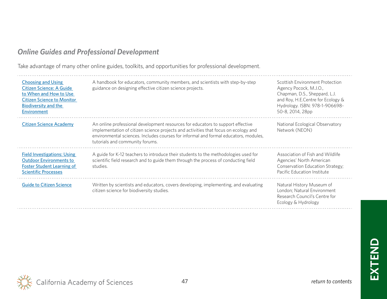## <span id="page-46-0"></span>*Online Guides and Professional Development*

Take advantage of many other online guides, toolkits, and opportunities for professional development.

| <b>Choosing and Using</b><br>Citizen Science: A Guide<br>to When and How to Use<br><b>Citizen Science to Monitor</b><br><b>Biodiversity and the</b><br><b>Environment</b> | A handbook for educators, community members, and scientists with step-by-step<br>guidance on designing effective citizen science projects.                                                                                                                                                        | Scottish Environment Protection<br>Agency Pocock, M.J.O.,<br>Chapman, D.S., Sheppard, L.J.<br>and Roy, H.E.Centre for Ecology &<br>Hydrology. ISBN: 978-1-906698-<br>50-8, 2014, 28pp |
|---------------------------------------------------------------------------------------------------------------------------------------------------------------------------|---------------------------------------------------------------------------------------------------------------------------------------------------------------------------------------------------------------------------------------------------------------------------------------------------|---------------------------------------------------------------------------------------------------------------------------------------------------------------------------------------|
| <b>Citizen Science Academy</b>                                                                                                                                            | An online professional development resources for educators to support effective<br>implementation of citizen science projects and activities that focus on ecology and<br>environmental sciences. Includes courses for informal and formal educators, modules,<br>tutorials and community forums. | National Ecological Observatory<br>Network (NEON)                                                                                                                                     |
| <b>Field Investigations: Using</b><br><b>Outdoor Environments to</b><br><b>Foster Student Learning of</b><br><b>Scientific Processes</b>                                  | A guide for K-12 teachers to introduce their students to the methodologies used for<br>scientific field research and to guide them through the process of conducting field<br>studies.                                                                                                            | Association of Fish and Wildlife<br>Agencies' North American<br>Conservation Education Strategy;<br>Pacific Education Institute                                                       |
| <b>Guide to Citizen Science</b>                                                                                                                                           | Written by scientists and educators, covers developing, implementing, and evaluating<br>citizen science for biodiversity studies.                                                                                                                                                                 | Natural History Museum of<br>London; Natural Environment<br>Research Council's Centre for<br>Ecology & Hydrology                                                                      |

**EXTEND**

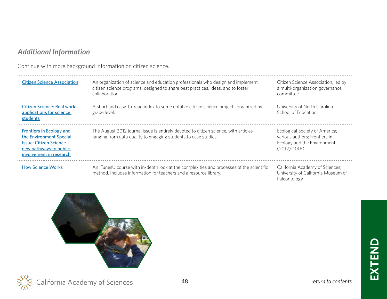## <span id="page-47-0"></span>*Additional Information*

Continue with more background information on citizen science.

| <b>Citizen Science Association</b>                                                                                                          | An organization of science and education professionals who design and implement<br>citizen science programs, designed to share best practices, ideas, and to foster<br>collaboration | Citizen Science Association, led by<br>a multi-organization governance<br>committee                             |
|---------------------------------------------------------------------------------------------------------------------------------------------|--------------------------------------------------------------------------------------------------------------------------------------------------------------------------------------|-----------------------------------------------------------------------------------------------------------------|
| Citizen Science: Real world<br>applications for science<br>students                                                                         | A short and easy-to-read index to some notable citizen science projects organized by<br>grade level.                                                                                 | University of North Carolina<br>School of Education                                                             |
| Frontiers in Ecology and<br>the Environment Special<br><b>Issue: Citizen Science -</b><br>new pathways to public<br>involvement in research | The August 2012 journal issue is entirely devoted to citizen science, with articles<br>ranging from data quality to engaging students to case studies.                               | Ecological Society of America;<br>various authors; Frontiers in<br>Ecology and the Environment<br>(2012): 10(6) |
| <b>How Science Works</b>                                                                                                                    | An iTunesU course with in-depth look at the complexities and processes of the scientific<br>method. Includes information for teachers and a resource library.                        | California Academy of Sciences;<br>University of California Museum of<br>Paleontology                           |





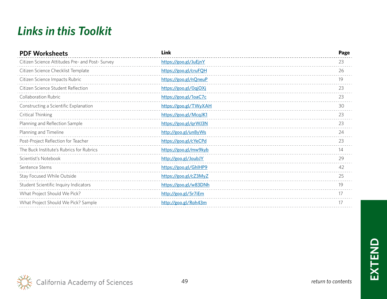## <span id="page-48-0"></span>*Links in this Toolkit*

| <b>PDF Worksheets</b>                           | Link                  | Page |
|-------------------------------------------------|-----------------------|------|
| Citizen Science Attitudes Pre- and Post- Survey | https://goo.gl/JuEjnY | 23   |
| Citizen Science Checklist Template              | https://goo.gl/cruFQH | 26   |
| Citizen Science Impacts Rubric                  | https://goo.gl/nQneuP | 19   |
| Citizen Science Student Reflection              | https://goo.gl/0qjOXj | 23   |
| <b>Collaboration Rubric</b>                     | https://goo.gl/1oaC7c | 23   |
| Constructing a Scientific Explanation           | https://goo.gl/TWyXAH | 30   |
| Critical Thinking                               | https://goo.gl/McqJK1 | 23   |
| Planning and Reflection Sample                  | https://goo.gl/qrWJ3N | 23   |
| Planning and Timeline                           | http://goo.gl/un8yWs  | 24   |
| Post-Project Reflection for Teacher             | https://goo.gl/cYeCPd | 23   |
| The Buck Institute's Rubrics for Rubrics        | https://goo.gl/mw9kyb | 14   |
| Scientist's Notebook                            | http://goo.gl/JoubJY  | 29   |
| Sentence Stems                                  | https://goo.gl/GhlHP9 | 42   |
| Stay Focused While Outside                      | https://goo.gl/cZ3MyZ | 25   |
| Student Scientific Inquiry Indicators           | https://goo.gl/w83DNh | 19   |
| What Project Should We Pick?                    | http://goo.gl/5r7iEm  | 17   |
| What Project Should We Pick? Sample             | http://goo.gl/Roh43m  | 17   |